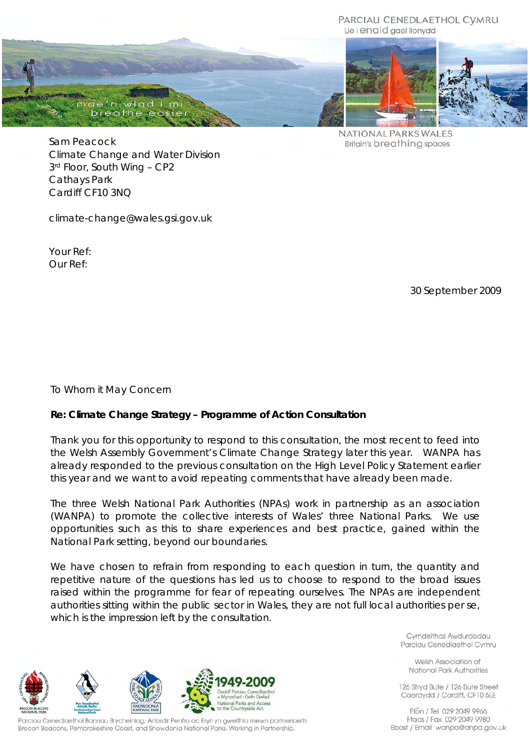#### PARCIAU CENEDLAETHOL CVMRU Lle i enaid gael llonydd



NATIONAL PARKS WALES **Britain's breathing spaces** 

Sam Peacock Climate Change and Water Division 3 rd Floor, South Wing – CP2 Cathays Park Cardiff CF10 3NQ

climate-change@wales.gsi.gov.uk

Your Ref: Our Ref:

30 September 2009

To Whom it May Concern

## **Re: Climate Change Strategy – Programme of Action Consultation**

Thank you for this opportunity to respond to this consultation, the most recent to feed into the Welsh Assembly Government's *Climate Change Strategy* later this year. WANPA has already responded to the previous consultation on the *High Level Policy Statement* earlier this year and we want to avoid repeating comments that have already been made.

The three Welsh National Park Authorities (NPAs) work in partnership as an association (WANPA) to promote the collective interests of Wales' three National Parks. We use opportunities such as this to share experiences and best practice, gained within the National Park setting, beyond our boundaries.

We have chosen to refrain from responding to each question in turn, the quantity and repetitive nature of the questions has led us to choose to respond to the broad issues raised within the programme for fear of repeating ourselves. The NPAs are independent authorities sitting within the public sector in Wales, they are not full local authorities per se, which is the impression left by the consultation.

> Cymdeithas Awdurdodau Parciau Cenedlaethol Cymru

Welsh Association of National Park Authorities

126 Stryd Bute / 126 Bute Street Caerdydd / Cardiff, CF10 5LE

Ffôn / Tel 029 2049 9966 Ffacs / Fax 029 2049 9980 Ebost / Email wanpa@anpa.gov.uk



Parciau Cenedlaethol Bannau Brycheiniog, Arfordir Penfro ac Ervri yn gweithio mewn partneriaeth Brecon Beacons, Pembrokeshire Coast, and Snowdonia National Parks. Working in Partnership.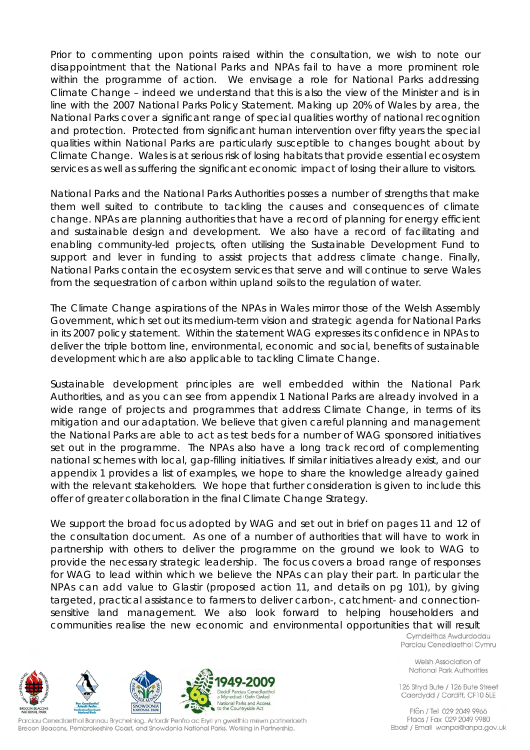Prior to commenting upon points raised within the consultation, we wish to note our disappointment that the National Parks and NPAs fail to have a more prominent role within the programme of action. We envisage a role for National Parks addressing Climate Change – indeed we understand that this is also the view of the Minister and is in line with the 2007 National Parks Policy Statement. Making up 20% of Wales by area, the National Parks cover a significant range of special qualities worthy of national recognition and protection. Protected from significant human intervention over fifty years the special qualities within National Parks are particularly susceptible to changes bought about by Climate Change. Wales is at serious risk of losing habitats that provide essential ecosystem services as well as suffering the significant economic impact of losing their allure to visitors.

National Parks and the National Parks Authorities posses a number of strengths that make them well suited to contribute to tackling the causes and consequences of climate change. NPAs are planning authorities that have a record of planning for energy efficient and sustainable design and development. We also have a record of facilitating and enabling community-led projects, often utilising the Sustainable Development Fund to support and lever in funding to assist projects that address climate change. Finally, National Parks contain the ecosystem services that serve and will continue to serve Wales from the sequestration of carbon within upland soils to the regulation of water.

The Climate Change aspirations of the NPAs in Wales mirror those of the Welsh Assembly Government, which set out its medium-term vision and strategic agenda for National Parks in its 2007 policy statement. Within the statement WAG expresses its confidence in NPAs to deliver the triple bottom line, environmental, economic and social, benefits of sustainable development which are also applicable to tackling Climate Change.

Sustainable development principles are well embedded within the National Park Authorities, and as you can see from appendix 1 National Parks are already involved in a wide range of projects and programmes that address Climate Change, in terms of its mitigation and our adaptation. We believe that given careful planning and management the National Parks are able to act as test beds for a number of WAG sponsored initiatives set out in the programme. The NPAs also have a long track record of complementing national schemes with local, gap-filling initiatives. If similar initiatives already exist, and our appendix 1 provides a list of examples, we hope to share the knowledge already gained with the relevant stakeholders. We hope that further consideration is given to include this offer of greater collaboration in the final Climate Change Strategy.

We support the broad focus adopted by WAG and set out in brief on pages 11 and 12 of the consultation document. As one of a number of authorities that will have to work in partnership with others to deliver the programme on the ground we look to WAG to provide the necessary strategic leadership. The focus covers a broad range of responses for WAG to lead within which we believe the NPAs can play their part. In particular the NPAs can add value to Glastir (proposed action 11, and details on pg 101), by giving targeted, practical assistance to farmers to deliver carbon-, catchment- and connectionsensitive land management. We also look forward to helping householders and communities realise the new economic and environmental opportunities that will result

Cymdeithas Awdurdodau Parciau Cenedlaethol Cymru

Welsh Association of National Park Authorities

126 Stryd Bute / 126 Bute Street Caerdydd / Cardiff, CF10 5LE

Ffôn / Tel 029 2049 9966 Ffacs / Fax 029 2049 9980 Ebost / Email wanpa@anpa.gov.uk



Parciau Cenedlaethol Bannau Brycheiniog, Arfordir Penfro ac Eryri yn gweithio mewn partneriaeth Brecon Beacons, Pembrokeshire Coast, and Snowdonia National Parks. Working in Partnership.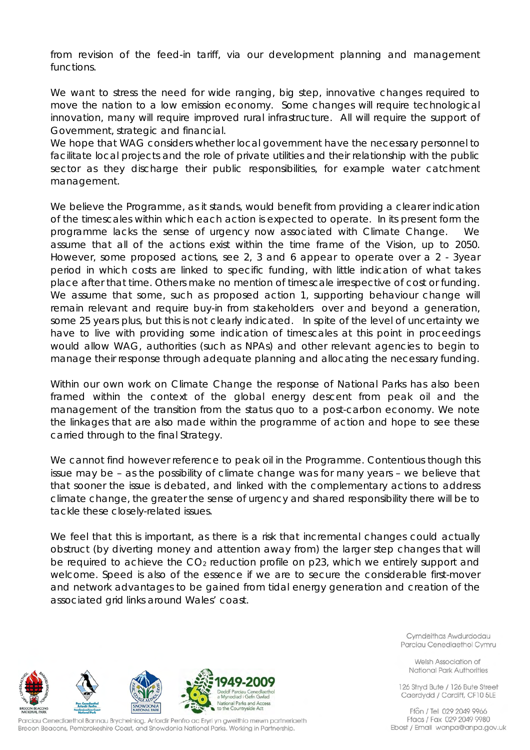from revision of the feed-in tariff, via our development planning and management functions.

We want to stress the need for wide ranging, big step, innovative changes required to move the nation to a low emission economy. Some changes will require technological innovation, many will require improved rural infrastructure. All will require the support of Government, strategic and financial.

We hope that WAG considers whether local government have the necessary personnel to facilitate local projects and the role of private utilities and their relationship with the public sector as they discharge their public responsibilities, for example water catchment management.

We believe the Programme, as it stands, would benefit from providing a clearer indication of the timescales within which each action is expected to operate. In its present form the programme lacks the sense of urgency now associated with Climate Change. assume that all of the actions exist within the time frame of the Vision, up to 2050. However, some proposed actions, see 2, 3 and 6 appear to operate over a 2 - 3year period in which costs are linked to specific funding, with little indication of what takes place after that time. Others make no mention of timescale irrespective of cost or funding. We assume that some, such as proposed action 1, supporting behaviour change will remain relevant and require buy-in from stakeholders over and beyond a generation, some 25 years plus, but this is not clearly indicated. In spite of the level of uncertainty we have to live with providing some indication of timescales at this point in proceedings would allow WAG, authorities (such as NPAs) and other relevant agencies to begin to manage their response through adequate planning and allocating the necessary funding.

Within our own work on Climate Change the response of National Parks has also been framed within the context of the global energy descent from peak oil and the management of the transition from the status quo to a post-carbon economy. We note the linkages that are also made within the programme of action and hope to see these carried through to the final Strategy.

We cannot find however reference to peak oil in the Programme. Contentious though this issue may be – as the possibility of climate change was for many years – we believe that that sooner the issue is debated, and linked with the complementary actions to address climate change, the greater the sense of urgency and shared responsibility there will be to tackle these closely-related issues.

We feel that this is important, as there is a risk that incremental changes could actually obstruct (by diverting money and attention away from) the larger step changes that will be required to achieve the  $CO<sub>2</sub>$  reduction profile on p23, which we entirely support and welcome. Speed is also of the essence if we are to secure the considerable first-mover and network advantages to be gained from tidal energy generation and creation of the associated grid links around Wales' coast.

ediad i Gefn Gwlad Vational Parks and Access<br>To the Countryside Act

Parciau Cenedlaethol Bannau Brycheiniog, Arfordir Penfro ac Ervri yn gweithio mewn partneriaeth Brecon Beacons, Pembrokeshire Coast, and Snowdonia National Parks. Working in Partnership.

Cymdeithas Awdurdodau Parciau Cenedlaethol Cymru

Welsh Association of National Park Authorities

126 Stryd Bute / 126 Bute Street Caerdydd / Cardiff, CF10 5LE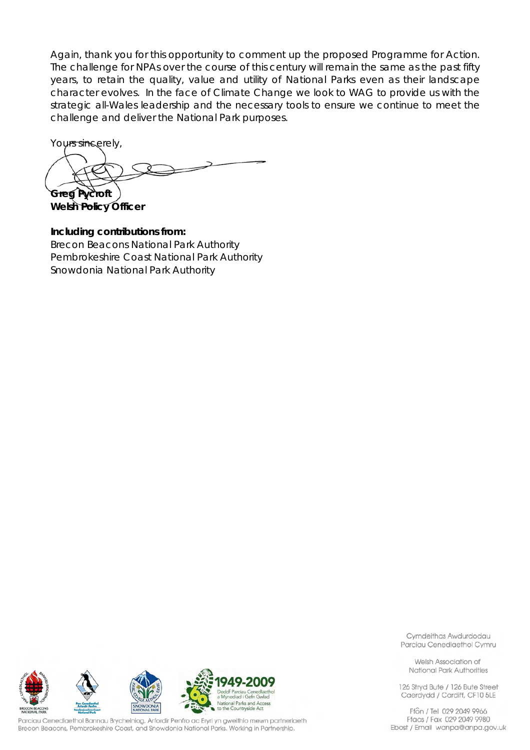Again, thank you for this opportunity to comment up the proposed Programme for Action. The challenge for NPAs over the course of this century will remain the same as the past fifty years, to retain the quality, value and utility of National Parks even as their landscape character evolves. In the face of Climate Change we look to WAG to provide us with the strategic all-Wales leadership and the necessary tools to ensure we continue to meet the challenge and deliver the National Park purposes.

Yours sincerely,

**Greg Pycroft**

**Welsh Policy Officer**

**Including contributions from:** Brecon Beacons National Park Authority Pembrokeshire Coast National Park Authority Snowdonia National Park Authority



Parciau Cenedlaethol Bannau Brycheiniog, Arfordir Penfro ac Eryri yn gweithio mewn partneriaeth Brecon Beacons, Pembrokeshire Coast, and Snowdonia National Parks. Working in Partnership.

Cymdeithas Awdurdodau Parciau Cenedlaethol Cymru

Welsh Association of National Park Authorities

126 Stryd Bute / 126 Bute Street Caerdydd / Cardiff, CF10 5LE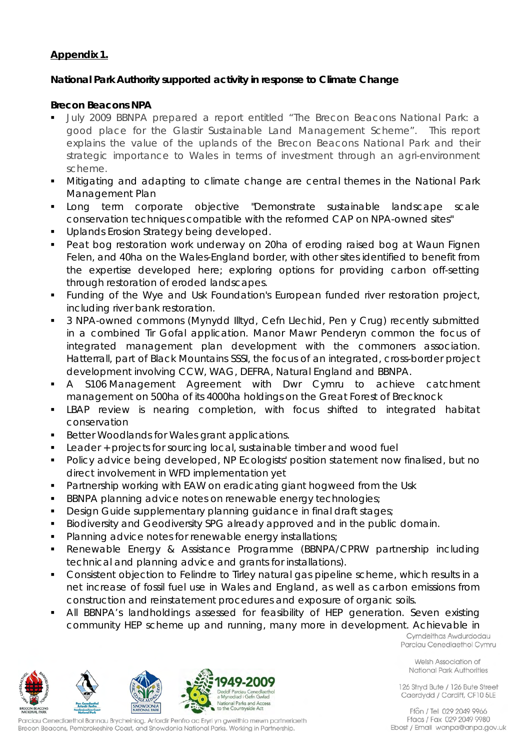# **Appendix 1.**

# **National Park Authority supported activity in response to Climate Change**

## **Brecon Beacons NPA**

- July 2009 BBNPA prepared a report entitled "The Brecon Beacons National Park: a good place for the Glastir Sustainable Land Management Scheme". This report explains the value of the uplands of the Brecon Beacons National Park and their strategic importance to Wales in terms of investment through an agri-environment scheme.
- Mitigating and adapting to climate change are central themes in the National Park Management Plan
- Long term corporate objective *"*Demonstrate sustainable landscape scale conservation techniques compatible with the reformed CAP on NPA-owned sites*"*
- **Uplands Erosion Strategy being developed.**
- Peat bog restoration work underway on 20ha of eroding raised bog at Waun Fignen Felen, and 40ha on the Wales-England border, with other sites identified to benefit from the expertise developed here; exploring options for providing carbon off-setting through restoration of eroded landscapes.
- Funding of the Wye and Usk Foundation's European funded river restoration project, including river bank restoration.
- 3 NPA-owned commons (Mynydd Illtyd, Cefn Llechid, Pen y Crug) recently submitted in a combined Tir Gofal application. Manor Mawr Penderyn common the focus of integrated management plan development with the commoners association. Hatterrall, part of Black Mountains SSSI, the focus of an integrated, cross-border project development involving CCW, WAG, DEFRA, Natural England and BBNPA.
- A S106 Management Agreement with Dwr Cymru to achieve catchment management on 500ha of its 4000ha holdings on the Great Forest of Brecknock
- LBAP review is nearing completion, with focus shifted to integrated habitat conservation
- Better Woodlands for Wales grant applications.
- **Leader + projects for sourcing local, sustainable timber and wood fuel**
- Policy advice being developed, NP Ecologists' position statement now finalised, but no direct involvement in WFD implementation yet
- **Partnership working with EAW on eradicating giant hogweed from the Usk**
- **BBNPA planning advice notes on renewable energy technologies;**
- Design Guide supplementary planning guidance in final draft stages;

a Myn

ediad i Gefn Gwlad **National Parks and Access**<br>National Parks and Access<br>to the Countryside Act

- Biodiversity and Geodiversity SPG already approved and in the public domain.
- **Planning advice notes for renewable energy installations;**
- Renewable Energy & Assistance Programme (BBNPA/CPRW partnership including technical and planning advice and grants for installations).
- Consistent objection to Felindre to Tirley natural gas pipeline scheme, which results in a net increase of fossil fuel use in Wales and England, as well as carbon emissions from construction and reinstatement procedures and exposure of organic soils.
- All BBNPA's landholdings assessed for feasibility of HEP generation. Seven existing community HEP scheme up and running, many more in development. Achievable in

Cymdeithas Awdurdodau Parciau Cenedlaethol Cymru

Welsh Association of National Park Authorities

126 Stryd Bute / 126 Bute Street Caerdydd / Cardiff, CF10 5LE

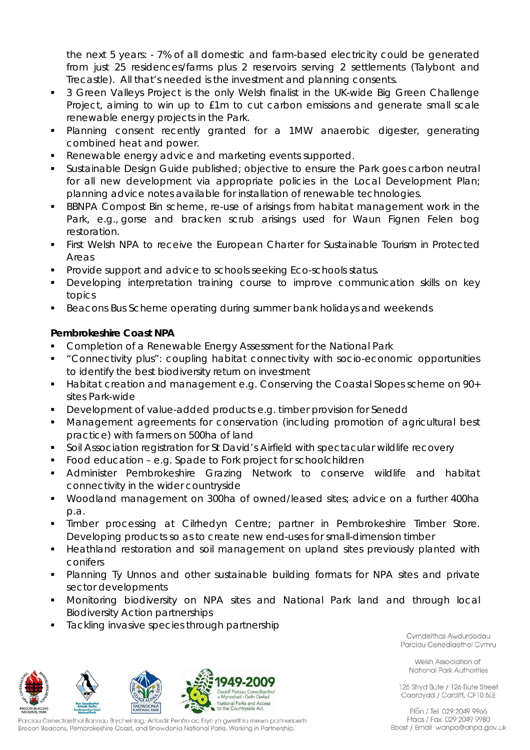the next 5 years: - 7% of all domestic and farm-based electricity could be generated from just 25 residences/farms plus 2 reservoirs serving 2 settlements (Talybont and Trecastle). All that's needed is the investment and planning consents.

- 3 Green Valleys Project is the only Welsh finalist in the UK-wide Big Green Challenge Project, aiming to win up to £1m to cut carbon emissions and generate small scale renewable energy projects in the Park.
- Planning consent recently granted for a 1MW anaerobic digester, generating combined heat and power.
- Renewable energy advice and marketing events supported.
- Sustainable Design Guide published; objective to ensure the Park goes carbon neutral for all new development via appropriate policies in the Local Development Plan; planning advice notes available for installation of renewable technologies.
- BBNPA Compost Bin scheme, re-use of arisings from habitat management work in the Park, e.g., gorse and bracken scrub arisings used for Waun Fignen Felen bog restoration.
- First Welsh NPA to receive the European Charter for Sustainable Tourism in Protected Areas
- Provide support and advice to schools seeking Eco-schools status.
- Developing interpretation training course to improve communication skills on key topics
- Beacons Bus Scheme operating during summer bank holidays and weekends

# **Pembrokeshire Coast NPA**

- Completion of a Renewable Energy Assessment for the National Park
- "Connectivity plus": coupling habitat connectivity with socio-economic opportunities to identify the best biodiversity return on investment
- Habitat creation and management e.g. Conserving the Coastal Slopes scheme on 90+ sites Park-wide
- Development of value-added products e.g. timber provision for Senedd
- Management agreements for conservation (including promotion of agricultural best practice) with farmers on 500ha of land
- Soil Association registration for St David's Airfield with spectacular wildlife recovery
- Food education e.g. Spade to Fork project for schoolchildren
- Administer Pembrokeshire Grazing Network to conserve wildlife and habitat connectivity in the wider countryside
- Woodland management on 300ha of owned/leased sites; advice on a further 400ha p.a.
- Timber processing at Cilrhedyn Centre; partner in Pembrokeshire Timber Store. Developing products so as to create new end-uses for small-dimension timber
- **Heathland restoration and soil management on upland sites previously planted with** conifers
- Planning Ty Unnos and other sustainable building formats for NPA sites and private sector developments
- Monitoring biodiversity on NPA sites and National Park land and through local Biodiversity Action partnerships

ediad i Gefn Gwlad **National Parks and Access**<br>National Parks and Access<br>to the Countryside Act

Tackling invasive species through partnership

Cymdeithas Awdurdodau Parciau Cenedlaethol Cymru

Welsh Association of National Park Authorities

126 Stryd Bute / 126 Bute Street Caerdydd / Cardiff, CF10 5LE

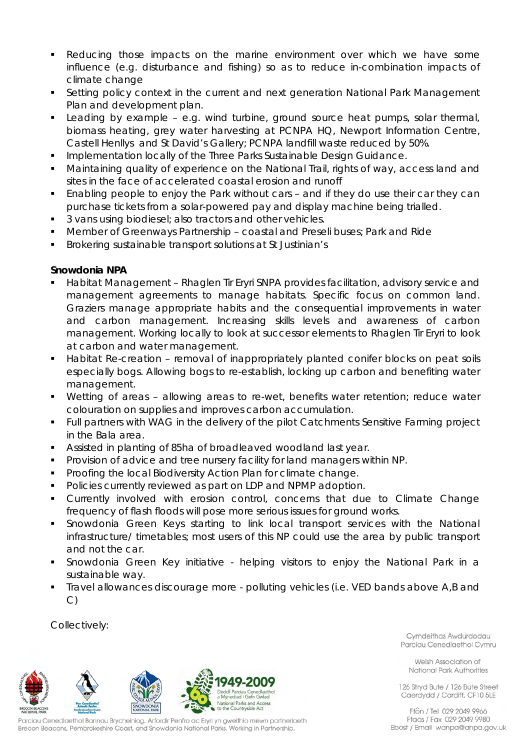- Reducing those impacts on the marine environment over which we have some influence (e.g. disturbance and fishing) so as to reduce in-combination impacts of climate change
- Setting policy context in the current and next generation National Park Management Plan and development plan.
- Leading by example e.g. wind turbine, ground source heat pumps, solar thermal, biomass heating, grey water harvesting at PCNPA HQ, Newport Information Centre, Castell Henllys and St David's Gallery; PCNPA landfill waste reduced by 50%.
- Implementation locally of the Three Parks Sustainable Design Guidance.
- Maintaining quality of experience on the National Trail, rights of way, access land and sites in the face of accelerated coastal erosion and runoff
- Enabling people to enjoy the Park without cars and if they do use their car they can purchase tickets from a solar-powered pay and display machine being trialled.
- <sup>3</sup> vans using biodiesel; also tractors and other vehicles.
- Member of Greenways Partnership coastal and Preseli buses; Park and Ride
- Brokering sustainable transport solutions at St Justinian's

## **Snowdonia NPA**

- Habitat Management Rhaglen Tir Eryri SNPA provides facilitation, advisory service and management agreements to manage habitats. Specific focus on common land. Graziers manage appropriate habits and the consequential improvements in water and carbon management. Increasing skills levels and awareness of carbon management. Working locally to look at successor elements to Rhaglen Tir Eryri to look at carbon and water management.
- Habitat Re-creation removal of inappropriately planted conifer blocks on peat soils especially bogs. Allowing bogs to re-establish, locking up carbon and benefiting water management.
- Wetting of areas allowing areas to re-wet, benefits water retention; reduce water colouration on supplies and improves carbon accumulation.
- Full partners with WAG in the delivery of the pilot Catchments Sensitive Farming project in the Bala area.
- Assisted in planting of 85ha of broadleaved woodland last year.
- Provision of advice and tree nursery facility for land managers within NP.
- **Proofing the local Biodiversity Action Plan for climate change.**
- **Policies currently reviewed as part on LDP and NPMP adoption.**
- Currently involved with erosion control, concerns that due to Climate Change frequency of flash floods will pose more serious issues for ground works.
- Snowdonia Green Keys starting to link local transport services with the National infrastructure/ timetables; most users of this NP could use the area by public transport and not the car.
- Snowdonia Green Key initiative helping visitors to enjoy the National Park in a sustainable way.
- Travel allowances discourage more polluting vehicles (i.e. VED bands above A,B and C)

Collectively:



Parciau Cenedlaethol Bannau Brycheiniog, Arfordir Penfro ac Ervri yn gweithio mewn partneriaeth Brecon Beacons, Pembrokeshire Coast, and Snowdonia National Parks. Working in Partnership.

Cymdeithas Awdurdodau Parciau Cenedlaethol Cymru

Welsh Association of National Park Authorities

126 Stryd Bute / 126 Bute Street Caerdydd / Cardiff, CF10 5LE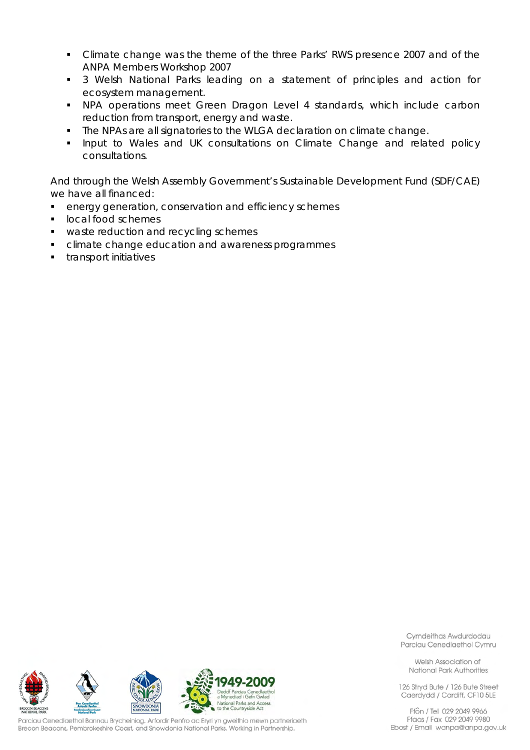- Climate change was the theme of the three Parks' RWS presence 2007 and of the ANPA Members Workshop 2007
- 3 Welsh National Parks leading on a statement of principles and action for ecosystem management.
- NPA operations meet Green Dragon Level 4 standards, which include carbon reduction from transport, energy and waste.
- The NPAs are all signatories to the WLGA declaration on climate change.
- **Input to Wales and UK consultations on Climate Change and related policy** consultations.

And through the Welsh Assembly Government's Sustainable Development Fund (SDF/CAE) we have all financed:

- **EXECTE EXECTE FIGHTS ENEX** energy generation, conservation and efficiency schemes
- **IDCal food schemes**
- waste reduction and recycling schemes
- **EXEC** climate change education and awareness programmes
- **transport initiatives**



Parciau Cenedlaethol Bannau Brycheiniog, Arfordir Penfro ac Eryri yn gweithio mewn partneriaeth Brecon Beacons, Pembrokeshire Coast, and Snowdonia National Parks. Working in Partnership.

Cymdeithas Awdurdodau Parciau Cenedlaethol Cymru

Welsh Association of National Park Authorities

126 Stryd Bute / 126 Bute Street Caerdydd / Cardiff, CF10 5LE